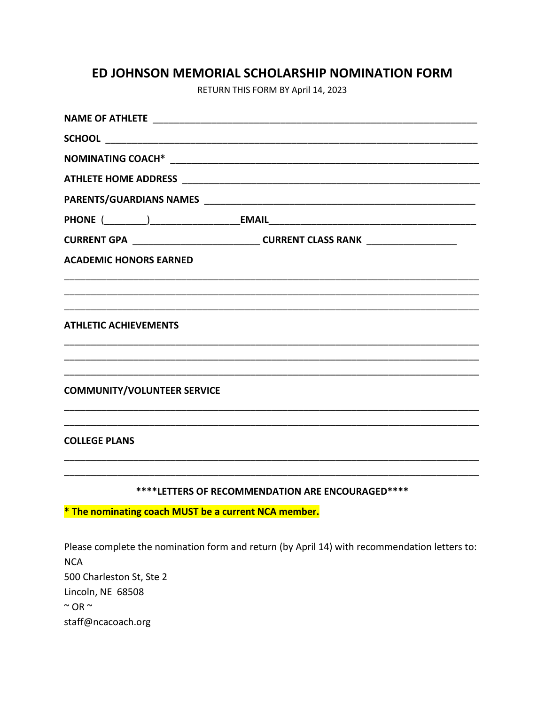## ED JOHNSON MEMORIAL SCHOLARSHIP NOMINATION FORM

RETURN THIS FORM BY April 14, 2023

|                                                      |                                                                                              |  | CURRENT GPA ________________________________CURRENT CLASS RANK _________________ |
|------------------------------------------------------|----------------------------------------------------------------------------------------------|--|----------------------------------------------------------------------------------|
| <b>ACADEMIC HONORS EARNED</b>                        |                                                                                              |  |                                                                                  |
|                                                      |                                                                                              |  |                                                                                  |
|                                                      |                                                                                              |  |                                                                                  |
| <b>ATHLETIC ACHIEVEMENTS</b>                         |                                                                                              |  |                                                                                  |
|                                                      |                                                                                              |  |                                                                                  |
|                                                      |                                                                                              |  |                                                                                  |
| <b>COMMUNITY/VOLUNTEER SERVICE</b>                   |                                                                                              |  |                                                                                  |
|                                                      |                                                                                              |  |                                                                                  |
| <b>COLLEGE PLANS</b>                                 |                                                                                              |  |                                                                                  |
|                                                      |                                                                                              |  |                                                                                  |
|                                                      |                                                                                              |  |                                                                                  |
| ****LETTERS OF RECOMMENDATION ARE ENCOURAGED****     |                                                                                              |  |                                                                                  |
| * The nominating coach MUST be a current NCA member. |                                                                                              |  |                                                                                  |
|                                                      |                                                                                              |  |                                                                                  |
|                                                      | Please complete the nomination form and return (by April 14) with recommendation letters to: |  |                                                                                  |
| <b>NCA</b>                                           |                                                                                              |  |                                                                                  |
| 500 Charleston St, Ste 2                             |                                                                                              |  |                                                                                  |
| Lincoln, NE 68508<br>$~\sim$ OR $\sim$               |                                                                                              |  |                                                                                  |

staff@ncacoach.org